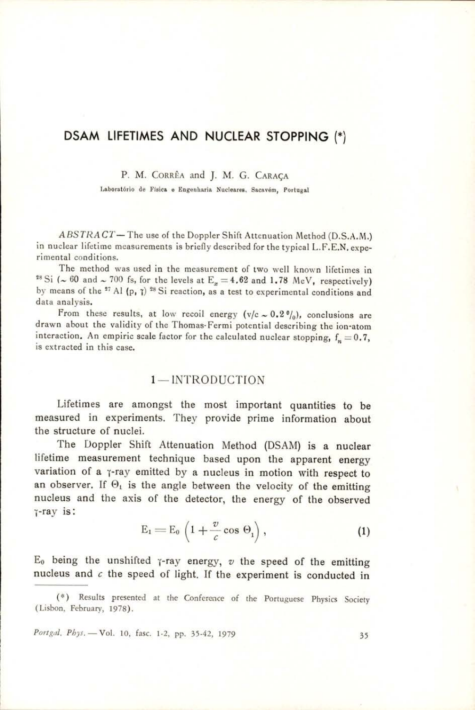# DSAM LIFETIMES AND NUCLEAR STOPPING (\*)

P. M. CORRÊA and J. M. G. CARAÇA

Laboratério de Fisica e Engenharia Nucleares, Sacavém, Portugal

ABSTRACT-The use of the Doppler Shift Attenuation Method (D.S.A.M.) in nuclear lifetime measurements is briefly described for the typical L.F.E.N, experimental conditions.

The method was used in the measurement of two well known lifetimes in <sup>28</sup> Si ( $\sim$  60 and  $\sim$  700 fs, for the levels at E<sub>x</sub> = 4.62 and 1.78 MeV, respectively) by means of the  $27$  Al (p,  $7$ )  $28$  Si reaction, as a test to experimental conditions and data analysis,

From these results, at low recoil energy  $(v/c \sim 0.2\frac{v_0}{v})$ , conclusions are drawn about the validity of the Thomas-Fermi potential describing the ion-atom interaction. An empiric scale factor for the calculated nuclear stopping,  $f_n = 0.7$ , is extracted in this case.

## 1— INTRODUCTION

Lifetimes are amongst the most important quantities to be measured in experiments. They provide prime information about the structure of nuclei.

The Doppler Shift Attenuation Method (DSAM) is a nuclear lifetime measurement technique based upon the apparent energy variation of a y-ray emitted by a nucleus in motion with respect to an observer. If  $\Theta_1$  is the angle between the velocity of the emitting nucleus and the axis of the detector, the energy of the observed j-ray is:

$$
E_1 = E_0 \left( 1 + \frac{v}{c} \cos \Theta_1 \right), \tag{1}
$$

 $E_0$  being the unshifted  $\gamma$ -ray energy,  $v$  the speed of the emitting nucleus and  $c$  the speed of light. If the experiment is conducted in

Portgal, Phys. - Vol. 10, fasc. 1-2, pp. 35-42, 1979 35

 (Lisbon, February, 1978). (\*) Results presented at the Conference of the Portuguese Physics Society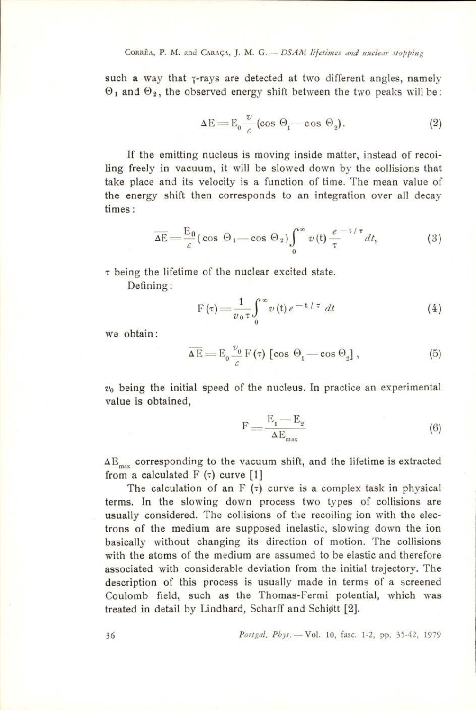such a way that  $\gamma$ -rays are detected at two different angles, namely  $\Theta_1$  and  $\Theta_2$ , the observed energy shift between the two peaks will be:

$$
\Delta E = E_0 \frac{v}{c} (\cos \Theta_1 - \cos \Theta_2). \tag{2}
$$

If the emitting nucleus is moving inside matter, instead of recoiling freely in vacuum, it will be slowed down by the collisions that take place and its velocity is a function of time. The mean value of the energy shift then corresponds to an integration over all decay times:

$$
\overline{\Delta E} = \frac{E_0}{c} \left( \cos \Theta_1 - \cos \Theta_2 \right) \int_0^\infty v(t) \frac{e^{-t/\tau}}{\tau} dt, \tag{3}
$$

 $\tau$  being the lifetime of the nuclear excited state.

Defining:

$$
F(\tau) = \frac{1}{v_0 \tau} \int_0^\infty v(t) e^{-t/\tau} dt
$$
 (4)

we obtain:  
\n
$$
\overline{\Delta E} = E_0 \frac{v_0}{c} F(\tau) \left[ \cos \Theta_1 - \cos \Theta_2 \right],
$$
\n(5)

 $v<sub>0</sub>$  being the initial speed of the nucleus. In practice an experimental value is obtained,

$$
F = \frac{E_1 - E_2}{\Delta E_{\text{max}}} \tag{6}
$$

 $\Delta E_{\text{max}}$  corresponding to the vacuum shift, and the lifetime is extracted from a calculated  $F(\tau)$  curve [1]

The calculation of an  $F(\tau)$  curve is a complex task in physical terms. In the slowing down process two types of collisions are usually considered. The collisions of the recoiling ion with the electrons of the medium are supposed inelastic, slowing down the ion basically without changing its direction of motion. The collisions with the atoms of the medium are assumed to be elastic and therefore associated with considerable deviation from the initial trajectory. The description of this process is usually made in terms of a screened Coulomb field, such as the Thomas-Fermi potential, which was treated in detail by Lindhard, Scharff and Schi¢tt [2].

36 Portgal, Phys. — Vol. 10, fasc. 1-2, pp. 35-42, 1979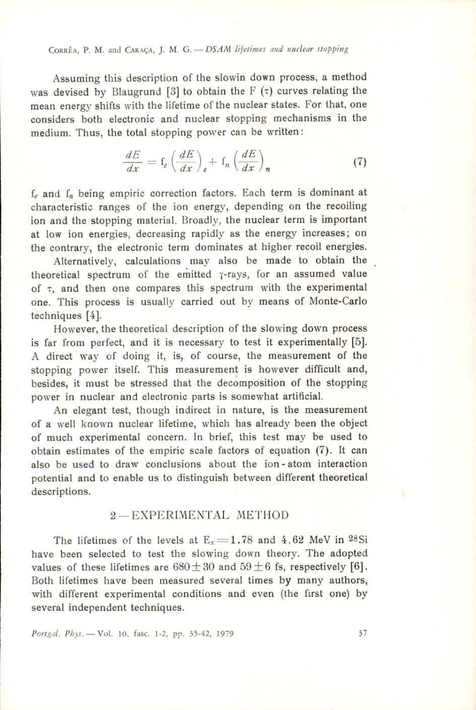Corrfia, P. M. and Caraga, J. M. G.—DSAM lifetimes and nuclear stopping

Assuming this description of the slowin down process, a method was devised by Blaugrund [3] to obtain the  $F(\tau)$  curves relating the mean energy shifts with the lifetime of the nuclear states. For that, one considers both electronic and nuclear stopping mechanisms in the medium. Thus, the total stopping power can be written:

$$
\frac{dE}{dx} = \mathbf{f}_e \left(\frac{dE}{dx}\right)_e + \mathbf{f}_n \left(\frac{dE}{dx}\right)_n \tag{7}
$$

 $f_e$  and  $f_n$  being empiric correction factors. Each term is dominant at characteristic ranges of the ion energy, depending on the recoiling ion and the stopping material. Broadly, the nuclear term is important at low ion energies, decreasing rapidly as the energy increases; on the contrary, the electronic term dominates at higher recoil energies.

Alternatively, calculations may also be made to obtain the theoretical spectrum of the emitted y-rays, for an assumed value of  $\tau$ , and then one compares this spectrum with the experimental one. This process is usually carried out by means of Monte-Carlo techniques [4].

However, the theoretical description of the slowing down process is far from perfect, and it is necessary to test it experimentally [5]. A direct way of doing it, is, of course, the measurement of the stopping power itself. This measurement is however difficult and, besides, it must be stressed that the decomposition of the stopping power in nuclear and electronic parts is somewhat artificial.

An elegant test, though indirect in nature, is the measurement of a well known nuclear lifetime, which has already been the object of much experimental concern. In brief, this test may be used to obtain estimates of the empiric scale factors of equation (7). It can also be used to draw conclusions about the ion-atom interaction potential and to enable us to distinguish between different theoretical descriptions.

### 2—EXPERIMENTAL METHOD

several independent techniques. The lifetimes of the levels at  $E_x = 1.78$  and 4.62 MeV in 28Si have been selected to test the slowing down theory. The adopted values of these lifetimes are  $680 \pm 30$  and  $59 \pm 6$  fs, respectively [6]. Both lifetimes have been measured several times by many authors, with different experimental conditions and even (the first one) by

Portgal, Phys. - Vol. 10, fasc. 1-2, pp. 35-42, 1979 37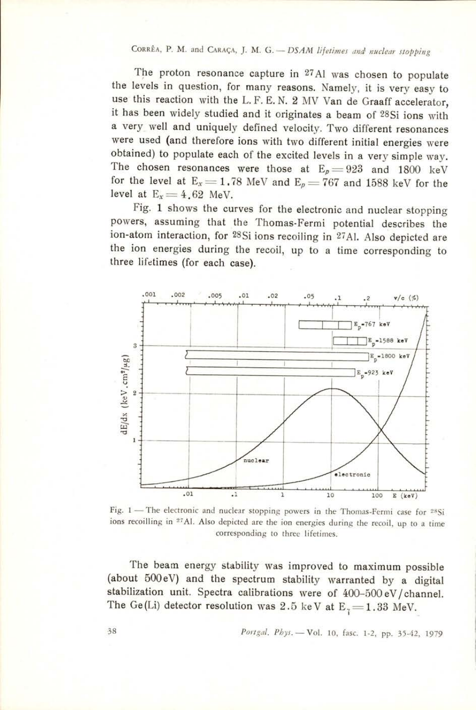CORRÊA, P. M. and CARAÇA, J. M. G. — DSAM lifetimes and nuclear stopping<br>The proton resonance capture in 27Al was chosen to populate<br>the levels in question, for many reasons. Namely, it is very easy to The proton resonance capture in 27Al was chosen to populate use this reaction with the L.F.E.N. 2 MV Van de Graaff accelerator, it has been widely studied and it originates a beam of <sup>28</sup>Si ions with a very well and uniquely defined velocity. Two different resonances were used (and obtained) to populate each of the excited levels in a very simple way.<br>The chosen resonances were those at  $E_p = 923$  and 1800 keV<br>for the level at  $E_x = 1.78$  MeV and  $E_p = 767$  and 1588 keV for the level at  $E_x = 4.62$  MeV. **EXAMPLE AT ATTLE 100**<br>
The proton resonance capture<br>
vels in question, for many re<br>
is reaction with the L.F.E.N<br>
been widely studied and it or<br>
vell and uniquely defined<br>
used (and therefore ions with<br>
ed) to populate e

Fig. 1 shows the curves for the electronic and nuclear stopping powers, assuming that the Thomas-Fermi potential describes the ion-atom interaction, for 28Si ions recoiling in 27Al. Also depicted are the ion energies during the recoil, up to a time corresponding to three lifetimes (for each case).



Fig. 1 — The electronic and nuclear stopping powers in the Thomas-Fermi case for 28Si ions recoilling in <sup>27</sup>Al. Also depicted are the ion energies during the recoil, up to a time corresponding to three lifetimes.

The beam energy stability was improved to maximum possible (about 500eV) and the spectrum stability warranted by a digital stabilization unit. Spectra calibrations were of 400-500 eV/channel. The Ge(Li) detector resolution was 2.5 keV at  $E_7 = 1.33$  MeV.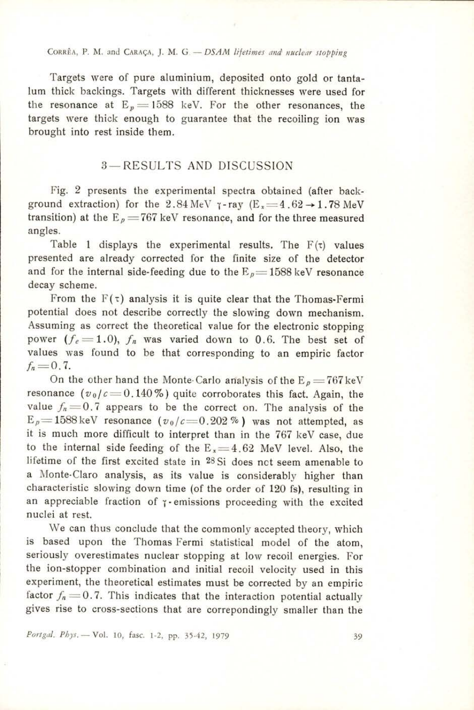#### CORRÊA, P. M. and CARAÇA, J. M. G. - DSAM lifetimes and nuclear stopping

Targets were of pure aluminium, deposited onto gold or tantalum thick backings. Targets with different thicknesses were used for the resonance at  $E_n = 1588$  keV. For the other resonances, the targets were thick enough to guarantee that the recoiling ion was brought into rest inside them.

### 3— RESULTS AND DISCUSSION

Fig. 2 presents the experimental spectra obtained (after background extraction) for the 2.84 MeV  $\gamma$ -ray (E<sub>x</sub>=4.62  $\rightarrow$  1.78 MeV transition) at the  $E_p = 767$  keV resonance, and for the three measured angles.

Table 1 displays the experimental results. The  $F(\tau)$  values presented are already corrected for the finite size of the detector and for the internal side-feeding due to the  $E_p = 1588$  keV resonance decay scheme.

From the  $F(\tau)$  analysis it is quite clear that the Thomas-Fermi potential does not describe correctly the slowing down mechanism. Assuming as correct the theoretical value for the electronic stopping power  $(f_e=1.0)$ ,  $f_n$  was varied down to 0.6. The best set of values was found to be that corresponding to an empiric factor  $f_n = 0.7$ .

On the other hand the Monte-Carlo analysis of the  $E_p = 767 \text{ keV}$ resonance  $(v_0/c=0.140\%)$  quite corroborates this fact. Again, the value  $f_n=0.7$  appears to be the correct on. The analysis of the  $E_p=1588 \text{ keV}$  resonance  $(v_0/c=0.202\%)$  was not attempted, as it is much more difficult to interpret than in the 767 keV case, due to the internal side feeding of the  $E_x = 4.62$  MeV level. Also, the lifetime of the first excited state in 28Si does not seem amenable to a Monte-Claro analysis, as its value is considerably higher than characteristic slowing down time (of the order of 120 fs), resulting in an appreciable fraction of  $\gamma$ -emissions proceeding with the excited nuclei at rest.

We can thus conclude that the commonly accepted theory, which is based upon the Thomas Fermi statistical model of the atom, seriously overestimates nuclear stopping at low recoil energies. For the ion-stopper combination and initial recoil velocity used in this experiment, the theoretical estimates must be corrected by an empiric factor  $f_n = 0.7$ . This indicates that the interaction potential actually gives rise to cross-sections that are correpondingly smaller than the

Portgal, Phys. - Vol. 10, fasc. 1-2, pp. 35-42, 1979 39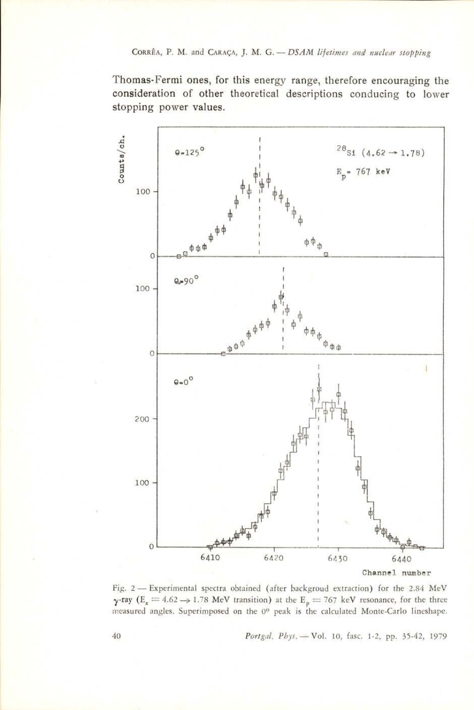CORRÊA, P. M. and CARAÇA, J. M. G. - DSAM lifetimes and nuclear stopping<br>Thomas-Fermi ones, for this energy range, therefore encouraging<br>consideration of other theoretical descriptions conducing to Ic Thomas-Fermi ones, for this energy range, therefore encouraging the consideration of other theoretical descriptions conducing to lower stopping power values.  $A$ , P. M. and CARAÇA, J. M. G. — DS.<br>Fermi ones, for this energy ration of other theoretical despower values.



Fig. 2 — Experimental spectra obtained (after backgroud extraction) for the 2.84 MeV  $\gamma$ -ray (E<sub>x</sub> = 4.62  $\rightarrow$  1.78 MeV transition) at the E<sub>p</sub> = 767 keV resonance, for the three measured angles. Superimposed on the 0° peak is the calculated Monte-Carlo lineshape.

 $v_{bys} = \nabla \circ$ 40 Portgal. Phys, — Vol. 10, fasc. 1-2, pp. 35-42, 1979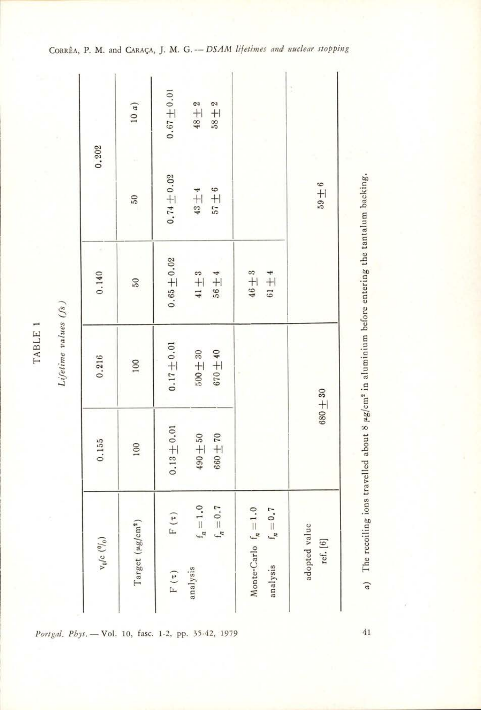| 0.202           | 10 $\alpha)$                 | $0.67\pm0.01$                        | $48\pm2$<br>$58 + 2$                     |                                                 | ĵ                         |
|-----------------|------------------------------|--------------------------------------|------------------------------------------|-------------------------------------------------|---------------------------|
|                 | $\overline{6}$               | $0.74 \pm 0.02$                      | $57 + 6$<br>$43\pm4$                     |                                                 | $6 + 6$                   |
| 0.140           | 50                           | $0.65 \pm 0.02$                      | $41 + 3$<br>$56 + 4$                     | $46\pm3$<br>$61\pm4$                            |                           |
| 0.216           | 100                          | $0.17 + 0.01$                        | $500\pm30$<br>$670 + 40$                 |                                                 | $680 + 30$                |
| 0.155           | 100                          | $0.13 + 0.01$                        | $490\pm50$<br>$660\pm70$                 |                                                 |                           |
| $v_0/c$ $(0)_0$ | Target (µg/cm <sup>2</sup> ) | $\mathbf{F}\left( \mathbf{t}\right)$ | $\mathbf{f}_n=1.0$<br>$\mathbf{f}_n=0.7$ | Monte-Carlo $f_n = 1.0$<br>analysis $f_n = 0.7$ | adopted value<br>ref. [6] |
|                 |                              | $F\left( \tau \right)$               | analysis                                 |                                                 |                           |

Portgal, Phys. - Vol. 10, fasc. 1-2, pp. 35-42, 1979 41

backing. tantalum  $_{\rm ne}$ entering belore aluminium  $\Xi$ about 8 µg/cm<sup>-</sup> travelled SUO! reconing oy (v

CORRÊA, P. M. and CARAÇA, J. M. G. -- DSAM lifetimes and nuclear stopping

 $\overline{\phantom{a}}$ TABLE  $($ s $\sqrt{)}$ 

sanjva

Lyetime